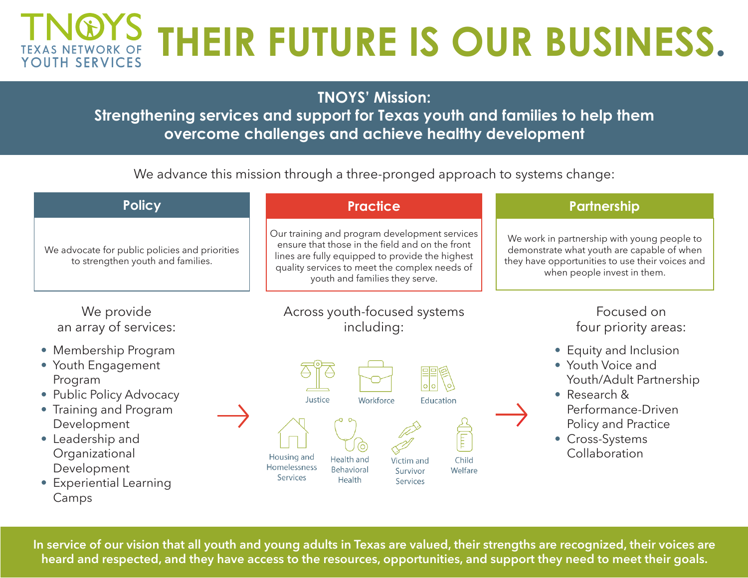## T**NOYS** THEIR FUTURE IS OUR BUSINESS. **YOUTH SERVICES**

**TNOYS' Mission:**

**Strengthening services and support for Texas youth and families to help them overcome challenges and achieve healthy development**

We advance this mission through a three-pronged approach to systems change:

| <b>Policy</b>                                                                                                                                                                                                       | <b>Practice</b>                                                                                                                                                                                                                        | Partnership                                                                                                                                                                 |
|---------------------------------------------------------------------------------------------------------------------------------------------------------------------------------------------------------------------|----------------------------------------------------------------------------------------------------------------------------------------------------------------------------------------------------------------------------------------|-----------------------------------------------------------------------------------------------------------------------------------------------------------------------------|
| We advocate for public policies and priorities<br>to strengthen youth and families.                                                                                                                                 | Our training and program development services<br>ensure that those in the field and on the front<br>lines are fully equipped to provide the highest<br>quality services to meet the complex needs of<br>youth and families they serve. | We work in partnership with young people to<br>demonstrate what youth are capable of when<br>they have opportunities to use their voices and<br>when people invest in them. |
| We provide<br>an array of services:                                                                                                                                                                                 | Across youth-focused systems<br>including:                                                                                                                                                                                             | Focused on<br>four priority areas:                                                                                                                                          |
| • Membership Program<br>• Youth Engagement<br>Program<br>• Public Policy Advocacy<br>• Training and Program<br>Development<br>• Leadership and<br>Organizational<br>Development<br>• Experiential Learning<br>Camps | Justice<br>Workforce<br>Education<br>Ē<br>Housing and<br>Health and<br>Child<br>Victim and<br>Homelessness<br>Behavioral<br>Welfare<br>Survivor<br>Services<br>Health<br>Services                                                      | • Equity and Inclusion<br>• Youth Voice and<br>Youth/Adult Partnership<br>• Research &<br>Performance-Driven<br>Policy and Practice<br>• Cross-Systems<br>Collaboration     |

**In service of our vision that all youth and young adults in Texas are valued, their strengths are recognized, their voices are heard and respected, and they have access to the resources, opportunities, and support they need to meet their goals.**